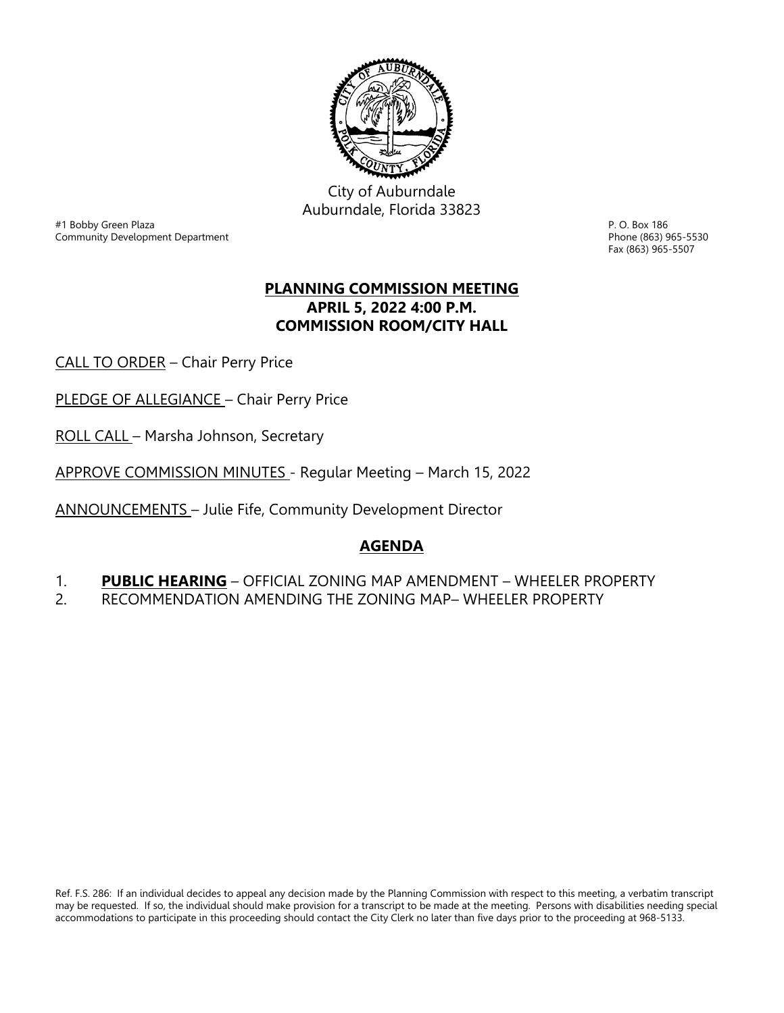

City of Auburndale Auburndale, Florida 33823

er and the state of the state of the state of the state of the state of the state of the state of the state of the S<br>Phone (863) 965-5530<br>Phone (863) 965-5530 Community Development Department

Fax (863) 965-5507

# **PLANNING COMMISSION MEETING APRIL 5, 2022 4:00 P.M. COMMISSION ROOM/CITY HALL**

CALL TO ORDER – Chair Perry Price

PLEDGE OF ALLEGIANCE - Chair Perry Price

ROLL CALL – Marsha Johnson, Secretary

APPROVE COMMISSION MINUTES - Regular Meeting – March 15, 2022

ANNOUNCEMENTS – Julie Fife, Community Development Director

# **AGENDA**

1. **PUBLIC HEARING** – OFFICIAL ZONING MAP AMENDMENT – WHEELER PROPERTY

2. RECOMMENDATION AMENDING THE ZONING MAP– WHEELER PROPERTY

Ref. F.S. 286: If an individual decides to appeal any decision made by the Planning Commission with respect to this meeting, a verbatim transcript may be requested. If so, the individual should make provision for a transcript to be made at the meeting. Persons with disabilities needing special accommodations to participate in this proceeding should contact the City Clerk no later than five days prior to the proceeding at 968-5133.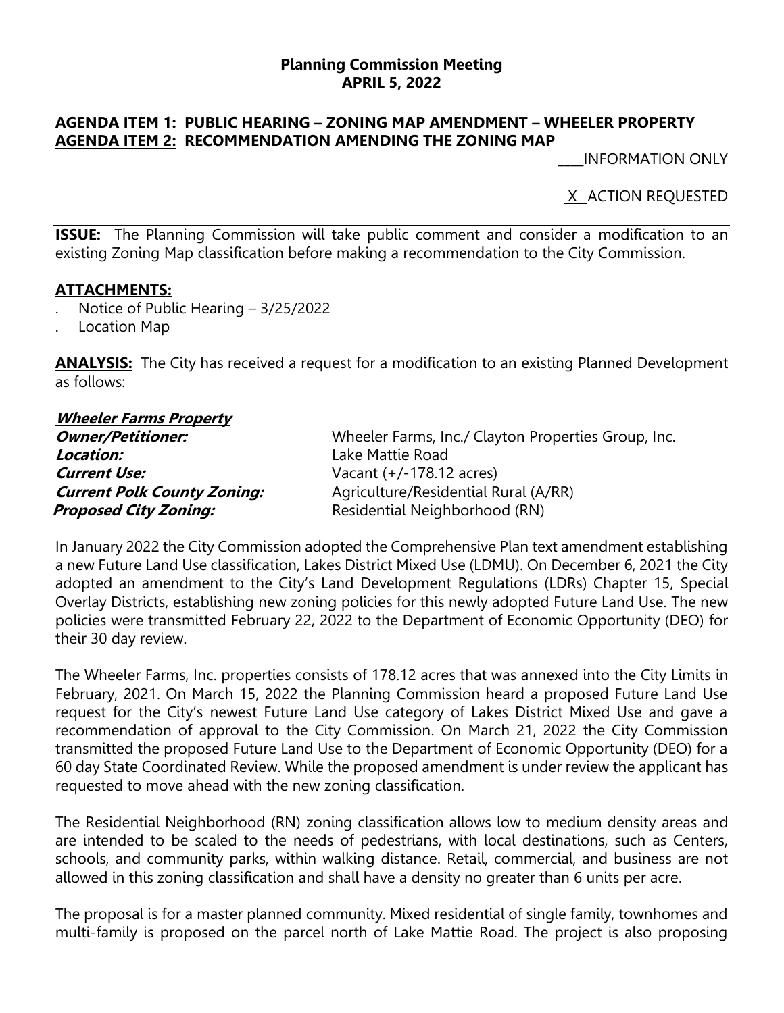#### **Planning Commission Meeting APRIL 5, 2022**

## **AGENDA ITEM 1: PUBLIC HEARING – ZONING MAP AMENDMENT – WHEELER PROPERTY AGENDA ITEM 2: RECOMMENDATION AMENDING THE ZONING MAP**

\_\_\_\_INFORMATION ONLY

X\_ ACTION REQUESTED

**ISSUE:** The Planning Commission will take public comment and consider a modification to an existing Zoning Map classification before making a recommendation to the City Commission.

## **ATTACHMENTS:**

- . Notice of Public Hearing 3/25/2022
- . Location Map

**ANALYSIS:** The City has received a request for a modification to an existing Planned Development as follows:

#### **Wheeler Farms Property Owner/Petitioner:** Wheeler Farms, Inc./ Clayton Properties Group, Inc. **Location:** Lake Mattie Road **Current Use:** Vacant (+/-178.12 acres) **Current Polk County Zoning:** Agriculture/Residential Rural (A/RR) *Proposed City Zoning:* Residential Neighborhood (RN)

In January 2022 the City Commission adopted the Comprehensive Plan text amendment establishing a new Future Land Use classification, Lakes District Mixed Use (LDMU). On December 6, 2021 the City adopted an amendment to the City's Land Development Regulations (LDRs) Chapter 15, Special Overlay Districts, establishing new zoning policies for this newly adopted Future Land Use. The new policies were transmitted February 22, 2022 to the Department of Economic Opportunity (DEO) for their 30 day review.

The Wheeler Farms, Inc. properties consists of 178.12 acres that was annexed into the City Limits in February, 2021. On March 15, 2022 the Planning Commission heard a proposed Future Land Use request for the City's newest Future Land Use category of Lakes District Mixed Use and gave a recommendation of approval to the City Commission. On March 21, 2022 the City Commission transmitted the proposed Future Land Use to the Department of Economic Opportunity (DEO) for a 60 day State Coordinated Review. While the proposed amendment is under review the applicant has requested to move ahead with the new zoning classification.

The Residential Neighborhood (RN) zoning classification allows low to medium density areas and are intended to be scaled to the needs of pedestrians, with local destinations, such as Centers, schools, and community parks, within walking distance. Retail, commercial, and business are not allowed in this zoning classification and shall have a density no greater than 6 units per acre.

The proposal is for a master planned community. Mixed residential of single family, townhomes and multi-family is proposed on the parcel north of Lake Mattie Road. The project is also proposing